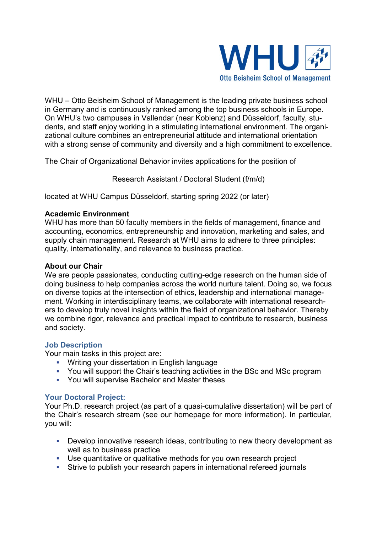

WHU – Otto Beisheim School of Management is the leading private business school in Germany and is continuously ranked among the top business schools in Europe. On WHU's two campuses in Vallendar (near Koblenz) and Düsseldorf, faculty, students, and staff enjoy working in a stimulating international environment. The organizational culture combines an entrepreneurial attitude and international orientation with a strong sense of community and diversity and a high commitment to excellence.

The Chair of Organizational Behavior invites applications for the position of

Research Assistant / Doctoral Student (f/m/d)

located at WHU Campus Düsseldorf, starting spring 2022 (or later)

# **Academic Environment**

WHU has more than 50 faculty members in the fields of management, finance and accounting, economics, entrepreneurship and innovation, marketing and sales, and supply chain management. Research at WHU aims to adhere to three principles: quality, internationality, and relevance to business practice.

# **About our Chair**

We are people passionates, conducting cutting-edge research on the human side of doing business to help companies across the world nurture talent. Doing so, we focus on diverse topics at the intersection of ethics, leadership and international management. Working in interdisciplinary teams, we collaborate with international researchers to develop truly novel insights within the field of organizational behavior. Thereby we combine rigor, relevance and practical impact to contribute to research, business and society.

### **Job Description**

Your main tasks in this project are:

- **Writing your dissertation in English language**
- You will support the Chair's teaching activities in the BSc and MSc program
- You will supervise Bachelor and Master theses

### **Your Doctoral Project:**

Your Ph.D. research project (as part of a quasi-cumulative dissertation) will be part of the Chair's research stream (see our homepage for more information). In particular, you will:

- Develop innovative research ideas, contributing to new theory development as well as to business practice
- Use quantitative or qualitative methods for you own research project
- Strive to publish your research papers in international refereed journals